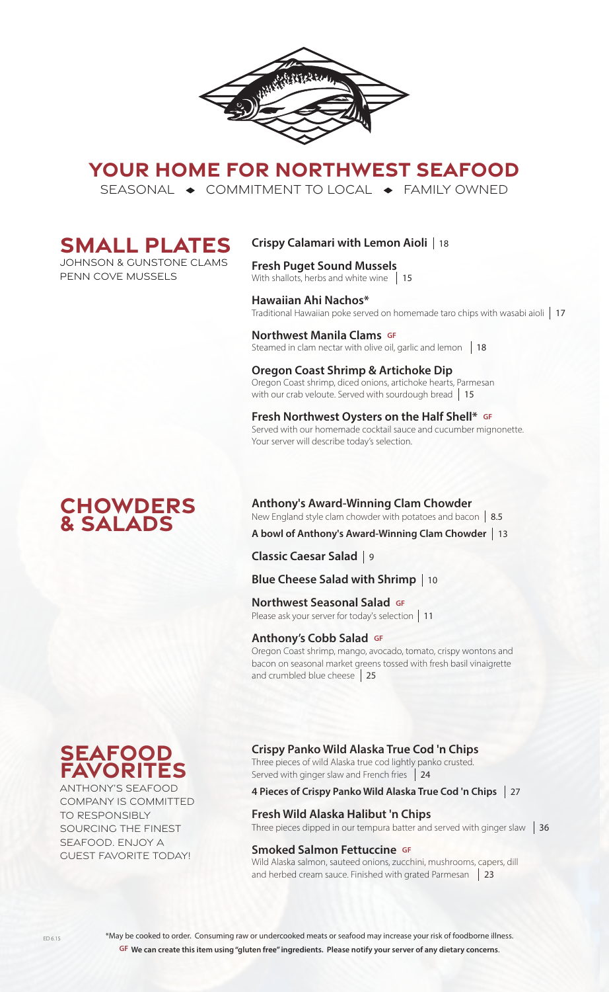

# **YOUR HOME FOR NORTHWEST SEAFOOD**

SEASONAL  $\rightarrow$  COMMITMENT TO LOCAL  $\rightarrow$  FAMILY OWNED



Johnson & GUnstone clams penn cove mussels

# **Crispy Calamari with Lemon Aioli**  18

**Fresh Puget Sound Mussels** With shallots, herbs and white wine 15

**Hawaiian Ahi Nachos\*** Traditional Hawaiian poke served on homemade taro chips with wasabi aioli 17

**Northwest Manila Clams GF** Steamed in clam nectar with olive oil, garlic and lemon 18

**Oregon Coast Shrimp & Artichoke Dip** Oregon Coast shrimp, diced onions, artichoke hearts, Parmesan with our crab veloute. Served with sourdough bread 15

**Fresh Northwest Oysters on the Half Shell\* GF** Served with our homemade cocktail sauce and cucumber mignonette. Your server will describe today's selection.

## **Chowders & Salads**

**Anthony's Award-Winning Clam Chowder** New England style clam chowder with potatoes and bacon 8.5

**A bowl of Anthony's Award-Winning Clam Chowder**  13

**Classic Caesar Salad**  9

**Blue Cheese Salad with Shrimp**  10

**Northwest Seasonal Salad GF NOT LITWEST SEASOTIAL SATACE SETTING**<br>Please ask your server for today's selection | 11

## **Anthony's Cobb Salad GF**

Oregon Coast shrimp, mango, avocado, tomato, crispy wontons and bacon on seasonal market greens tossed with fresh basil vinaigrette and crumbled blue cheese 25



ANTHONY'S SEAFOOD COMPANY IS COMMITTED TO RESPONSIBLY SOURCING THE FINEST SEAFOOD. ENJOY A GUEST FAVORITE TODAY!

**Crispy Panko Wild Alaska True Cod 'n Chips** 

Three pieces of wild Alaska true cod lightly panko crusted. Served with ginger slaw and French fries 24

**4 Pieces of Crispy Panko Wild Alaska True Cod 'n Chips**  27

## **Fresh Wild Alaska Halibut 'n Chips**  Three pieces dipped in our tempura batter and served with ginger slaw  $\parallel$  36

## **Smoked Salmon Fettuccine GF**

Wild Alaska salmon, sauteed onions, zucchini, mushrooms, capers, dill and herbed cream sauce. Finished with grated Parmesan | 23

\*May be cooked to order. Consuming raw or undercooked meats or seafood may increase your risk of foodborne illness. **GF We can create this item using "gluten free" ingredients. Please notify your server of any dietary concerns**.